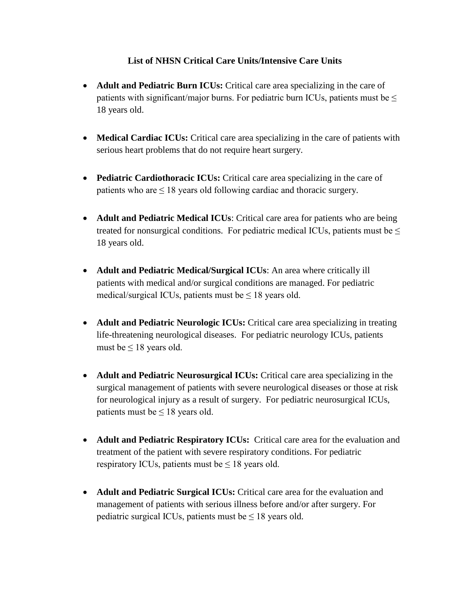## **List of NHSN Critical Care Units/Intensive Care Units**

- **Adult and Pediatric Burn ICUs:** Critical care area specializing in the care of patients with significant/major burns. For pediatric burn ICUs, patients must be  $\leq$ 18 years old.
- **Medical Cardiac ICUs:** Critical care area specializing in the care of patients with serious heart problems that do not require heart surgery.
- **Pediatric Cardiothoracic ICUs:** Critical care area specializing in the care of patients who are  $\leq 18$  years old following cardiac and thoracic surgery.
- **Adult and Pediatric Medical ICUs**: Critical care area for patients who are being treated for nonsurgical conditions. For pediatric medical ICUs, patients must be  $\leq$ 18 years old.
- **Adult and Pediatric Medical/Surgical ICUs**: An area where critically ill patients with medical and/or surgical conditions are managed. For pediatric medical/surgical ICUs, patients must be  $\leq 18$  years old.
- **Adult and Pediatric Neurologic ICUs:** Critical care area specializing in treating life-threatening neurological diseases. For pediatric neurology ICUs, patients must be  $\leq 18$  years old.
- **Adult and Pediatric Neurosurgical ICUs:** Critical care area specializing in the surgical management of patients with severe neurological diseases or those at risk for neurological injury as a result of surgery. For pediatric neurosurgical ICUs, patients must be  $\leq 18$  years old.
- **Adult and Pediatric Respiratory ICUs:** Critical care area for the evaluation and treatment of the patient with severe respiratory conditions. For pediatric respiratory ICUs, patients must be  $\leq 18$  years old.
- **Adult and Pediatric Surgical ICUs:** Critical care area for the evaluation and management of patients with serious illness before and/or after surgery. For pediatric surgical ICUs, patients must be  $\leq 18$  years old.